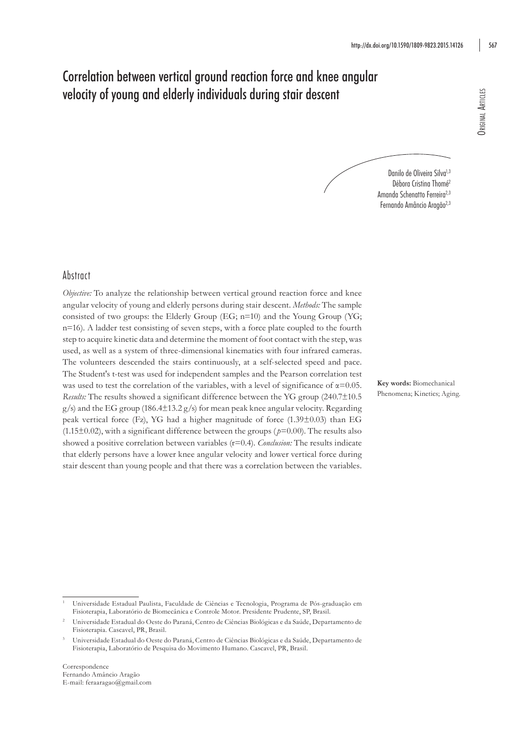# Correlation between vertical ground reaction force and knee angular velocity of young and elderly individuals during stair descent

Danilo de Oliveira Silva<sup>1,3</sup> Débora Cristina Thomé<sup>2</sup> Amanda Schenatto Ferreira<sup>2,3</sup> Fernando Amâncio Aragão<sup>2,3</sup>

# Abstract

*Objective:* To analyze the relationship between vertical ground reaction force and knee angular velocity of young and elderly persons during stair descent. *Methods:* The sample consisted of two groups: the Elderly Group (EG; n=10) and the Young Group (YG; n=16). A ladder test consisting of seven steps, with a force plate coupled to the fourth step to acquire kinetic data and determine the moment of foot contact with the step, was used, as well as a system of three-dimensional kinematics with four infrared cameras. The volunteers descended the stairs continuously, at a self-selected speed and pace. The Student's t-test was used for independent samples and the Pearson correlation test was used to test the correlation of the variables, with a level of significance of  $\alpha$ =0.05. *Results:* The results showed a significant difference between the YG group (240.7±10.5  $g/s$ ) and the EG group (186.4 $\pm$ 13.2 g/s) for mean peak knee angular velocity. Regarding peak vertical force (Fz), YG had a higher magnitude of force (1.39±0.03) than EG  $(1.15\pm0.02)$ , with a significant difference between the groups ( $p=0.00$ ). The results also showed a positive correlation between variables (r=0.4). *Conclusion:* The results indicate that elderly persons have a lower knee angular velocity and lower vertical force during stair descent than young people and that there was a correlation between the variables.

**Key words:** Biomechanical Phenomena; Kinetics; Aging.

Correspondence Fernando Amâncio Aragão E-mail: feraaragao@gmail.com

<sup>1</sup> Universidade Estadual Paulista, Faculdade de Ciências e Tecnologia, Programa de Pós-graduação em Fisioterapia, Laboratório de Biomecânica e Controle Motor. Presidente Prudente, SP, Brasil.

<sup>2</sup> Universidade Estadual do Oeste do Paraná, Centro de Ciências Biológicas e da Saúde, Departamento de Fisioterapia. Cascavel, PR, Brasil.

<sup>3</sup> Universidade Estadual do Oeste do Paraná, Centro de Ciências Biológicas e da Saúde, Departamento de Fisioterapia, Laboratório de Pesquisa do Movimento Humano. Cascavel, PR, Brasil.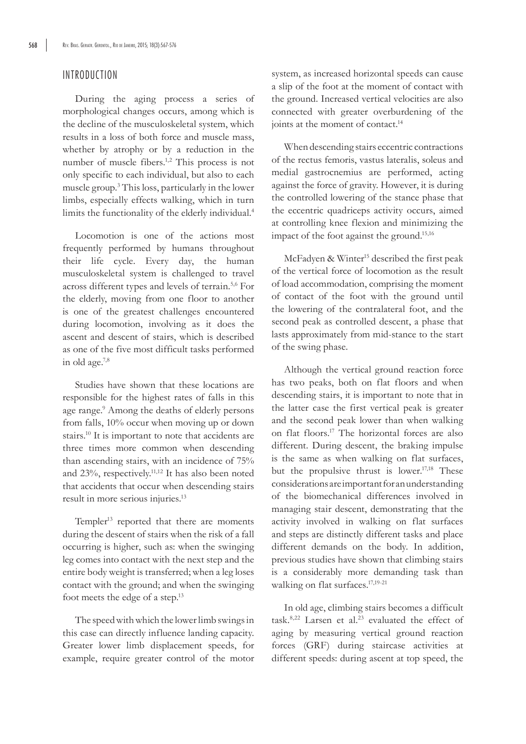## INTRODUCTION

During the aging process a series of morphological changes occurs, among which is the decline of the musculoskeletal system, which results in a loss of both force and muscle mass, whether by atrophy or by a reduction in the number of muscle fibers.<sup>1,2</sup> This process is not only specific to each individual, but also to each muscle group.3 This loss, particularly in the lower limbs, especially effects walking, which in turn limits the functionality of the elderly individual.4

Locomotion is one of the actions most frequently performed by humans throughout their life cycle. Every day, the human musculoskeletal system is challenged to travel across different types and levels of terrain.5,6 For the elderly, moving from one floor to another is one of the greatest challenges encountered during locomotion, involving as it does the ascent and descent of stairs, which is described as one of the five most difficult tasks performed in old age.7,8

Studies have shown that these locations are responsible for the highest rates of falls in this age range.<sup>9</sup> Among the deaths of elderly persons from falls, 10% occur when moving up or down stairs.10 It is important to note that accidents are three times more common when descending than ascending stairs, with an incidence of 75% and 23%, respectively.11,12 It has also been noted that accidents that occur when descending stairs result in more serious injuries.<sup>13</sup>

Templer<sup>13</sup> reported that there are moments during the descent of stairs when the risk of a fall occurring is higher, such as: when the swinging leg comes into contact with the next step and the entire body weight is transferred; when a leg loses contact with the ground; and when the swinging foot meets the edge of a step.13

The speed with which the lower limb swings in this case can directly influence landing capacity. Greater lower limb displacement speeds, for example, require greater control of the motor system, as increased horizontal speeds can cause a slip of the foot at the moment of contact with the ground. Increased vertical velocities are also connected with greater overburdening of the joints at the moment of contact.<sup>14</sup>

When descending stairs eccentric contractions of the rectus femoris, vastus lateralis, soleus and medial gastrocnemius are performed, acting against the force of gravity. However, it is during the controlled lowering of the stance phase that the eccentric quadriceps activity occurs, aimed at controlling knee flexion and minimizing the impact of the foot against the ground.<sup>15,16</sup>

McFadyen & Winter<sup>15</sup> described the first peak of the vertical force of locomotion as the result of load accommodation, comprising the moment of contact of the foot with the ground until the lowering of the contralateral foot, and the second peak as controlled descent, a phase that lasts approximately from mid-stance to the start of the swing phase.

Although the vertical ground reaction force has two peaks, both on flat floors and when descending stairs, it is important to note that in the latter case the first vertical peak is greater and the second peak lower than when walking on flat floors.17 The horizontal forces are also different. During descent, the braking impulse is the same as when walking on flat surfaces, but the propulsive thrust is lower.<sup>17,18</sup> These considerations are important for an understanding of the biomechanical differences involved in managing stair descent, demonstrating that the activity involved in walking on flat surfaces and steps are distinctly different tasks and place different demands on the body. In addition, previous studies have shown that climbing stairs is a considerably more demanding task than walking on flat surfaces.<sup>17,19-21</sup>

In old age, climbing stairs becomes a difficult task.<sup>8,22</sup> Larsen et al.<sup>23</sup> evaluated the effect of aging by measuring vertical ground reaction forces (GRF) during staircase activities at different speeds: during ascent at top speed, the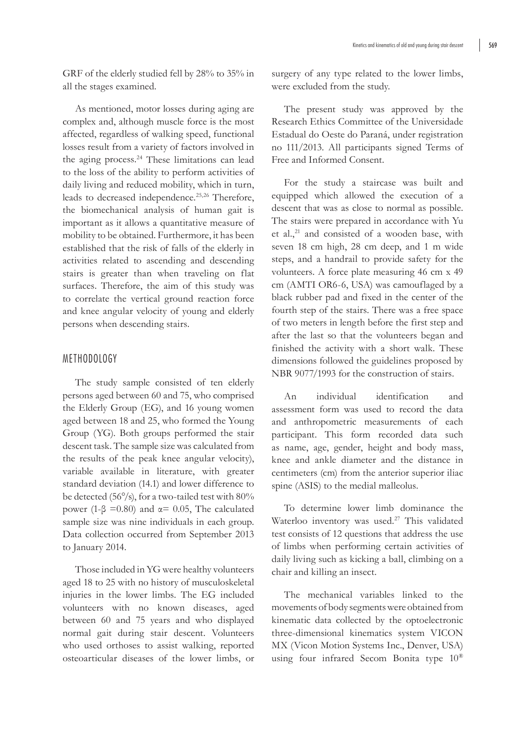GRF of the elderly studied fell by 28% to 35% in all the stages examined.

As mentioned, motor losses during aging are complex and, although muscle force is the most affected, regardless of walking speed, functional losses result from a variety of factors involved in the aging process.24 These limitations can lead to the loss of the ability to perform activities of daily living and reduced mobility, which in turn, leads to decreased independence.<sup>25,26</sup> Therefore, the biomechanical analysis of human gait is important as it allows a quantitative measure of mobility to be obtained. Furthermore, it has been established that the risk of falls of the elderly in activities related to ascending and descending stairs is greater than when traveling on flat surfaces. Therefore, the aim of this study was to correlate the vertical ground reaction force and knee angular velocity of young and elderly persons when descending stairs.

#### METHODOLOGY

The study sample consisted of ten elderly persons aged between 60 and 75, who comprised the Elderly Group (EG), and 16 young women aged between 18 and 25, who formed the Young Group (YG). Both groups performed the stair descent task. The sample size was calculated from the results of the peak knee angular velocity), variable available in literature, with greater standard deviation (14.1) and lower difference to be detected (56°/s), for a two-tailed test with 80% power (1-β = 0.80) and  $\alpha$  = 0.05, The calculated sample size was nine individuals in each group. Data collection occurred from September 2013 to January 2014.

Those included in YG were healthy volunteers aged 18 to 25 with no history of musculoskeletal injuries in the lower limbs. The EG included volunteers with no known diseases, aged between 60 and 75 years and who displayed normal gait during stair descent. Volunteers who used orthoses to assist walking, reported osteoarticular diseases of the lower limbs, or surgery of any type related to the lower limbs, were excluded from the study.

The present study was approved by the Research Ethics Committee of the Universidade Estadual do Oeste do Paraná, under registration no 111/2013. All participants signed Terms of Free and Informed Consent.

For the study a staircase was built and equipped which allowed the execution of a descent that was as close to normal as possible. The stairs were prepared in accordance with Yu et al.,<sup>21</sup> and consisted of a wooden base, with seven 18 cm high, 28 cm deep, and 1 m wide steps, and a handrail to provide safety for the volunteers. A force plate measuring 46 cm x 49 cm (AMTI OR6-6, USA) was camouflaged by a black rubber pad and fixed in the center of the fourth step of the stairs. There was a free space of two meters in length before the first step and after the last so that the volunteers began and finished the activity with a short walk. These dimensions followed the guidelines proposed by NBR 9077/1993 for the construction of stairs.

An individual identification and assessment form was used to record the data and anthropometric measurements of each participant. This form recorded data such as name, age, gender, height and body mass, knee and ankle diameter and the distance in centimeters (cm) from the anterior superior iliac spine (ASIS) to the medial malleolus.

To determine lower limb dominance the Waterloo inventory was used.<sup>27</sup> This validated test consists of 12 questions that address the use of limbs when performing certain activities of daily living such as kicking a ball, climbing on a chair and killing an insect.

The mechanical variables linked to the movements of body segments were obtained from kinematic data collected by the optoelectronic three-dimensional kinematics system VICON MX (Vicon Motion Systems Inc., Denver, USA) using four infrared Secom Bonita type 10®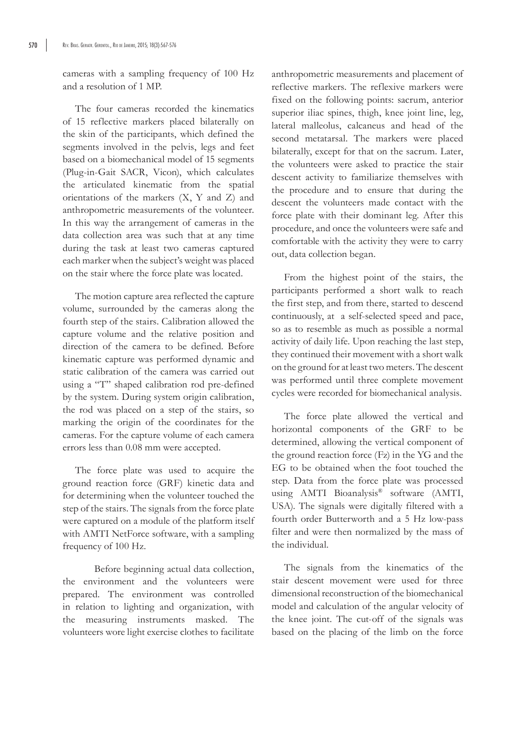cameras with a sampling frequency of 100 Hz and a resolution of 1 MP.

The four cameras recorded the kinematics of 15 reflective markers placed bilaterally on the skin of the participants, which defined the segments involved in the pelvis, legs and feet based on a biomechanical model of 15 segments (Plug-in-Gait SACR, Vicon), which calculates the articulated kinematic from the spatial orientations of the markers (X, Y and Z) and anthropometric measurements of the volunteer. In this way the arrangement of cameras in the data collection area was such that at any time during the task at least two cameras captured each marker when the subject's weight was placed on the stair where the force plate was located.

The motion capture area reflected the capture volume, surrounded by the cameras along the fourth step of the stairs. Calibration allowed the capture volume and the relative position and direction of the camera to be defined. Before kinematic capture was performed dynamic and static calibration of the camera was carried out using a "T" shaped calibration rod pre-defined by the system. During system origin calibration, the rod was placed on a step of the stairs, so marking the origin of the coordinates for the cameras. For the capture volume of each camera errors less than 0.08 mm were accepted.

The force plate was used to acquire the ground reaction force (GRF) kinetic data and for determining when the volunteer touched the step of the stairs. The signals from the force plate were captured on a module of the platform itself with AMTI NetForce software, with a sampling frequency of 100 Hz.

Before beginning actual data collection, the environment and the volunteers were prepared. The environment was controlled in relation to lighting and organization, with the measuring instruments masked. The volunteers wore light exercise clothes to facilitate anthropometric measurements and placement of reflective markers. The reflexive markers were fixed on the following points: sacrum, anterior superior iliac spines, thigh, knee joint line, leg, lateral malleolus, calcaneus and head of the second metatarsal. The markers were placed bilaterally, except for that on the sacrum. Later, the volunteers were asked to practice the stair descent activity to familiarize themselves with the procedure and to ensure that during the descent the volunteers made contact with the force plate with their dominant leg. After this procedure, and once the volunteers were safe and comfortable with the activity they were to carry out, data collection began.

From the highest point of the stairs, the participants performed a short walk to reach the first step, and from there, started to descend continuously, at a self-selected speed and pace, so as to resemble as much as possible a normal activity of daily life. Upon reaching the last step, they continued their movement with a short walk on the ground for at least two meters. The descent was performed until three complete movement cycles were recorded for biomechanical analysis.

The force plate allowed the vertical and horizontal components of the GRF to be determined, allowing the vertical component of the ground reaction force (Fz) in the YG and the EG to be obtained when the foot touched the step. Data from the force plate was processed using AMTI Bioanalysis® software (AMTI, USA). The signals were digitally filtered with a fourth order Butterworth and a 5 Hz low-pass filter and were then normalized by the mass of the individual.

The signals from the kinematics of the stair descent movement were used for three dimensional reconstruction of the biomechanical model and calculation of the angular velocity of the knee joint. The cut-off of the signals was based on the placing of the limb on the force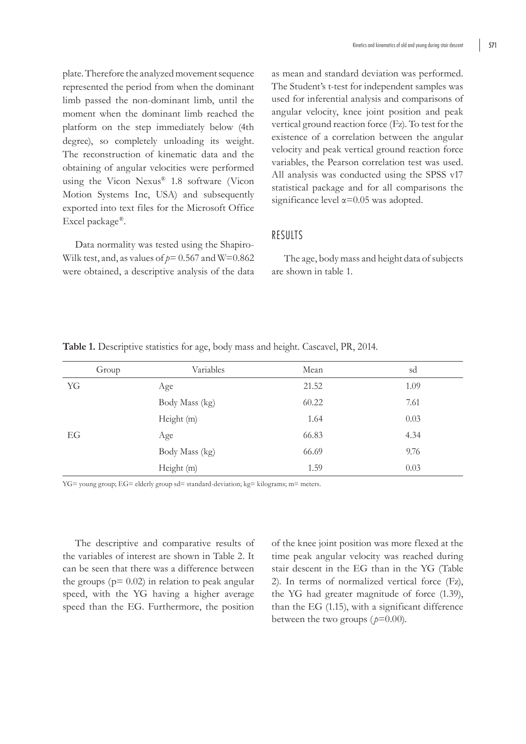plate. Therefore the analyzed movement sequence represented the period from when the dominant limb passed the non-dominant limb, until the moment when the dominant limb reached the platform on the step immediately below (4th degree), so completely unloading its weight. The reconstruction of kinematic data and the obtaining of angular velocities were performed using the Vicon Nexus® 1.8 software (Vicon Motion Systems Inc, USA) and subsequently exported into text files for the Microsoft Office Excel package*®*.

Data normality was tested using the Shapiro-Wilk test, and, as values of  $p = 0.567$  and W=0.862 were obtained, a descriptive analysis of the data

as mean and standard deviation was performed. The Student's t-test for independent samples was used for inferential analysis and comparisons of angular velocity, knee joint position and peak vertical ground reaction force (Fz). To test for the existence of a correlation between the angular velocity and peak vertical ground reaction force variables, the Pearson correlation test was used. All analysis was conducted using the SPSS v17 statistical package and for all comparisons the significance level α=0.05 was adopted.

## RESULTS

The age, body mass and height data of subjects are shown in table 1.

|    | Group | Variables      | Mean  | sd   |
|----|-------|----------------|-------|------|
| YG |       | Age            | 21.52 | 1.09 |
|    |       | Body Mass (kg) | 60.22 | 7.61 |
|    |       | Height (m)     | 1.64  | 0.03 |
| EG |       | Age            | 66.83 | 4.34 |
|    |       | Body Mass (kg) | 66.69 | 9.76 |
|    |       | Height (m)     | 1.59  | 0.03 |

**Table 1.** Descriptive statistics for age, body mass and height. Cascavel, PR, 2014.

YG= young group; EG= elderly group sd= standard-deviation; kg= kilograms; m= meters.

The descriptive and comparative results of the variables of interest are shown in Table 2. It can be seen that there was a difference between the groups ( $p = 0.02$ ) in relation to peak angular speed, with the YG having a higher average speed than the EG. Furthermore, the position

of the knee joint position was more flexed at the time peak angular velocity was reached during stair descent in the EG than in the YG (Table 2). In terms of normalized vertical force (Fz), the YG had greater magnitude of force (1.39), than the EG (1.15), with a significant difference between the two groups  $(p=0.00)$ .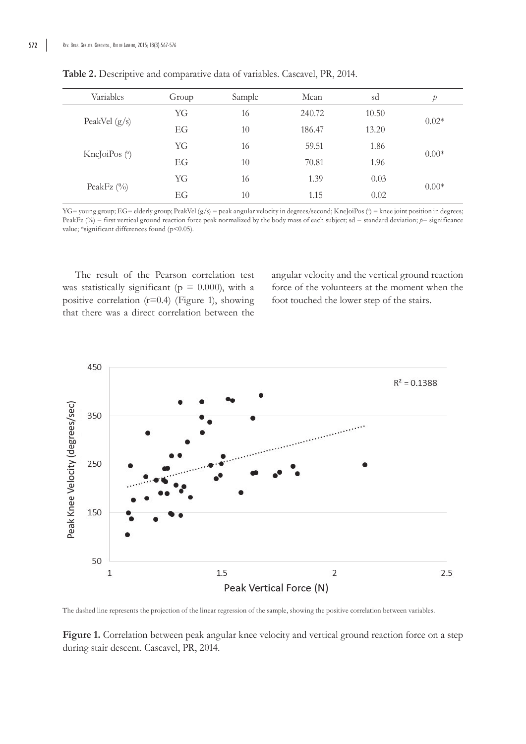| Variables       | Group | Sample | Mean   | sd    | Þ       |
|-----------------|-------|--------|--------|-------|---------|
|                 | YG    | 16     | 240.72 | 10.50 |         |
| PeakVel $(g/s)$ | EG    | 10     | 186.47 | 13.20 | $0.02*$ |
|                 | YG    | 16     | 59.51  | 1.86  |         |
| KneJoiPos (°)   | EG    | 10     | 70.81  | 1.96  | $0.00*$ |
|                 | YG    | 16     | 1.39   | 0.03  |         |
| PeakFz $(\%)$   | EG    | 10     | 1.15   | 0.02  | $0.00*$ |

**Table 2.** Descriptive and comparative data of variables. Cascavel, PR, 2014.

 $YG=$  young group;  $EG=$  elderly group; PeakVel  $(g/s)$  = peak angular velocity in degrees/second; KneJoiPos ( $\degree$ ) = knee joint position in degrees; PeakFz (%) = first vertical ground reaction force peak normalized by the body mass of each subject; sd = standard deviation;  $p=$  significance value; \*significant differences found (p<0.05).

The result of the Pearson correlation test was statistically significant ( $p = 0.000$ ), with a positive correlation (r=0.4) (Figure 1), showing that there was a direct correlation between the

angular velocity and the vertical ground reaction force of the volunteers at the moment when the foot touched the lower step of the stairs.



The dashed line represents the projection of the linear regression of the sample, showing the positive correlation between variables.

**Figure 1.** Correlation between peak angular knee velocity and vertical ground reaction force on a step during stair descent. Cascavel, PR, 2014.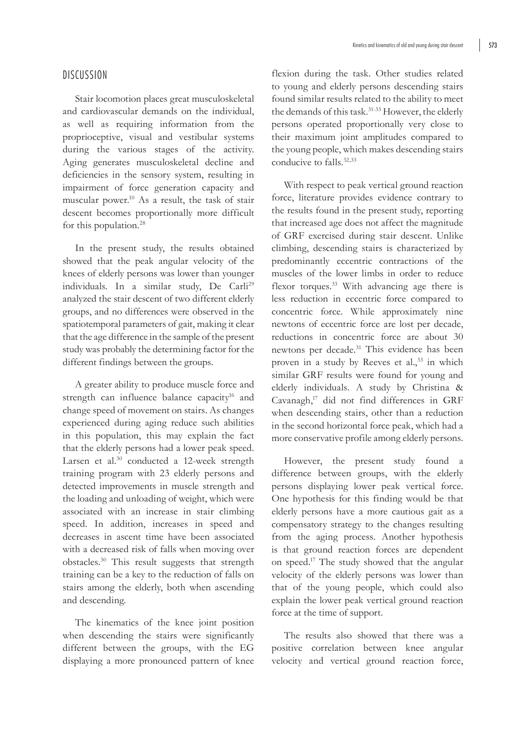### DISCUSSION

Stair locomotion places great musculoskeletal and cardiovascular demands on the individual, as well as requiring information from the proprioceptive, visual and vestibular systems during the various stages of the activity. Aging generates musculoskeletal decline and deficiencies in the sensory system, resulting in impairment of force generation capacity and muscular power.10 As a result, the task of stair descent becomes proportionally more difficult for this population.28

In the present study, the results obtained showed that the peak angular velocity of the knees of elderly persons was lower than younger individuals. In a similar study, De Carli<sup>29</sup> analyzed the stair descent of two different elderly groups, and no differences were observed in the spatiotemporal parameters of gait, making it clear that the age difference in the sample of the present study was probably the determining factor for the different findings between the groups.

A greater ability to produce muscle force and strength can influence balance capacity<sup>16</sup> and change speed of movement on stairs. As changes experienced during aging reduce such abilities in this population, this may explain the fact that the elderly persons had a lower peak speed. Larsen et al.<sup>30</sup> conducted a 12-week strength training program with 23 elderly persons and detected improvements in muscle strength and the loading and unloading of weight, which were associated with an increase in stair climbing speed. In addition, increases in speed and decreases in ascent time have been associated with a decreased risk of falls when moving over obstacles.30 This result suggests that strength training can be a key to the reduction of falls on stairs among the elderly, both when ascending and descending.

The kinematics of the knee joint position when descending the stairs were significantly different between the groups, with the EG displaying a more pronounced pattern of knee flexion during the task. Other studies related to young and elderly persons descending stairs found similar results related to the ability to meet the demands of this task.<sup>31-33</sup> However, the elderly persons operated proportionally very close to their maximum joint amplitudes compared to the young people, which makes descending stairs conducive to falls.<sup>32,33</sup>

With respect to peak vertical ground reaction force, literature provides evidence contrary to the results found in the present study, reporting that increased age does not affect the magnitude of GRF exercised during stair descent. Unlike climbing, descending stairs is characterized by predominantly eccentric contractions of the muscles of the lower limbs in order to reduce flexor torques.<sup>33</sup> With advancing age there is less reduction in eccentric force compared to concentric force. While approximately nine newtons of eccentric force are lost per decade, reductions in concentric force are about 30 newtons per decade.31 This evidence has been proven in a study by Reeves et al.,<sup>33</sup> in which similar GRF results were found for young and elderly individuals. A study by Christina & Cavanagh,<sup>17</sup> did not find differences in GRF when descending stairs, other than a reduction in the second horizontal force peak, which had a more conservative profile among elderly persons.

However, the present study found a difference between groups, with the elderly persons displaying lower peak vertical force. One hypothesis for this finding would be that elderly persons have a more cautious gait as a compensatory strategy to the changes resulting from the aging process. Another hypothesis is that ground reaction forces are dependent on speed.17 The study showed that the angular velocity of the elderly persons was lower than that of the young people, which could also explain the lower peak vertical ground reaction force at the time of support.

The results also showed that there was a positive correlation between knee angular velocity and vertical ground reaction force,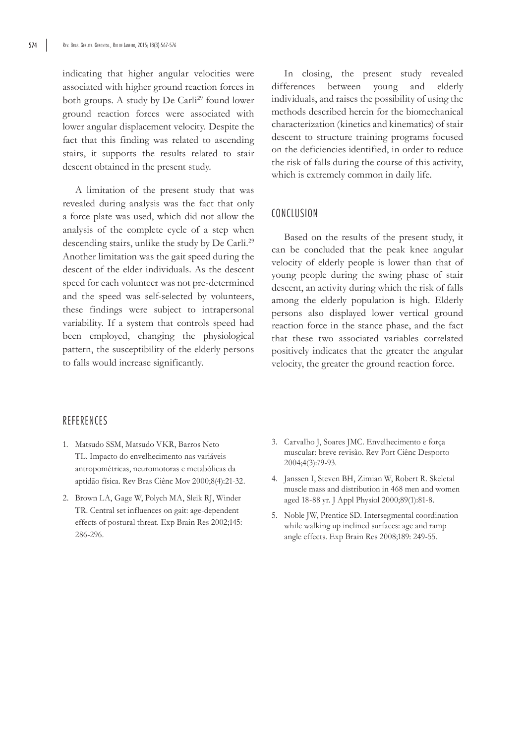indicating that higher angular velocities were associated with higher ground reaction forces in both groups. A study by De Carli<sup>29</sup> found lower ground reaction forces were associated with lower angular displacement velocity. Despite the fact that this finding was related to ascending stairs, it supports the results related to stair descent obtained in the present study.

A limitation of the present study that was revealed during analysis was the fact that only a force plate was used, which did not allow the analysis of the complete cycle of a step when descending stairs, unlike the study by De Carli.<sup>29</sup> Another limitation was the gait speed during the descent of the elder individuals. As the descent speed for each volunteer was not pre-determined and the speed was self-selected by volunteers, these findings were subject to intrapersonal variability. If a system that controls speed had been employed, changing the physiological pattern, the susceptibility of the elderly persons to falls would increase significantly.

In closing, the present study revealed differences between young and elderly individuals, and raises the possibility of using the methods described herein for the biomechanical characterization (kinetics and kinematics) of stair descent to structure training programs focused on the deficiencies identified, in order to reduce the risk of falls during the course of this activity, which is extremely common in daily life.

### CONCLUSION

Based on the results of the present study, it can be concluded that the peak knee angular velocity of elderly people is lower than that of young people during the swing phase of stair descent, an activity during which the risk of falls among the elderly population is high. Elderly persons also displayed lower vertical ground reaction force in the stance phase, and the fact that these two associated variables correlated positively indicates that the greater the angular velocity, the greater the ground reaction force.

# REFERENCES

- 1. Matsudo SSM, Matsudo VKR, Barros Neto TL. Impacto do envelhecimento nas variáveis antropométricas, neuromotoras e metabólicas da aptidão física. Rev Bras Ciênc Mov 2000;8(4):21-32.
- 2. Brown LA, Gage W, Polych MA, Sleik RJ, Winder TR. Central set influences on gait: age-dependent effects of postural threat. Exp Brain Res 2002;145: 286-296.
- 3. Carvalho J, Soares JMC. Envelhecimento e força muscular: breve revisão. Rev Port Ciênc Desporto 2004;4(3):79-93.
- 4. Janssen I, Steven BH, Zimian W, Robert R. Skeletal muscle mass and distribution in 468 men and women aged 18-88 yr. J Appl Physiol 2000;89(1):81-8.
- 5. Noble JW, Prentice SD. Intersegmental coordination while walking up inclined surfaces: age and ramp angle effects. Exp Brain Res 2008;189: 249-55.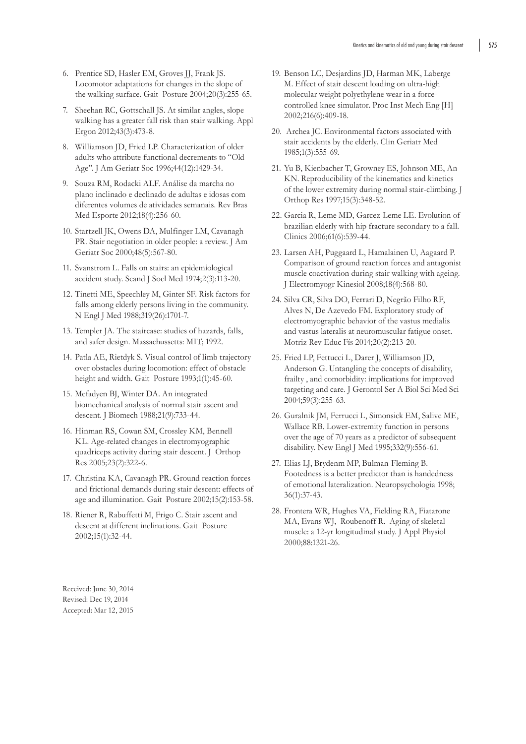- 6. Prentice SD, Hasler EM, Groves JJ, Frank JS. Locomotor adaptations for changes in the slope of the walking surface. Gait Posture 2004;20(3):255-65.
- 7. Sheehan RC, Gottschall JS. At similar angles, slope walking has a greater fall risk than stair walking. Appl Ergon 2012;43(3):473-8.
- 8. Williamson JD, Fried LP. Characterization of older adults who attribute functional decrements to "Old Age". J Am Geriatr Soc 1996;44(12):1429-34.
- 9. Souza RM, Rodacki ALF. Análise da marcha no plano inclinado e declinado de adultas e idosas com diferentes volumes de atividades semanais. Rev Bras Med Esporte 2012;18(4):256-60.
- 10. Startzell JK, Owens DA, Mulfinger LM, Cavanagh PR. Stair negotiation in older people: a review. J Am Geriatr Soc 2000;48(5):567-80.
- 11. Svanstrom L. Falls on stairs: an epidemiological accident study. Scand J Socl Med 1974;2(3):113-20.
- 12. Tinetti ME, Speechley M, Ginter SF. Risk factors for falls among elderly persons living in the community. N Engl J Med 1988;319(26):1701-7.
- 13. Templer JA. The staircase: studies of hazards, falls, and safer design. Massachussetts: MIT; 1992.
- 14. Patla AE, Rietdyk S. Visual control of limb trajectory over obstacles during locomotion: effect of obstacle height and width. Gait Posture 1993;1(1):45-60.
- 15. Mcfadyen BJ, Winter DA. An integrated biomechanical analysis of normal stair ascent and descent. J Biomech 1988;21(9):733-44.
- 16. Hinman RS, Cowan SM, Crossley KM, Bennell KL. Age-related changes in electromyographic quadriceps activity during stair descent. J Orthop Res 2005;23(2):322-6.
- 17. Christina KA, Cavanagh PR. Ground reaction forces and frictional demands during stair descent: effects of age and illumination. Gait Posture 2002;15(2):153-58.
- 18. Riener R, Rabuffetti M, Frigo C. Stair ascent and descent at different inclinations. Gait Posture 2002;15(1):32-44.
- 19. Benson LC, Desjardins JD, Harman MK, Laberge M. Effect of stair descent loading on ultra-high molecular weight polyethylene wear in a forcecontrolled knee simulator. Proc Inst Mech Eng [H] 2002;216(6):409-18.
- 20. Archea JC. Environmental factors associated with stair accidents by the elderly. Clin Geriatr Med 1985;1(3):555-69.
- 21. Yu B, Kienbacher T, Growney ES, Johnson ME, An KN. Reproducibility of the kinematics and kinetics of the lower extremity during normal stair-climbing. J Orthop Res 1997;15(3):348-52.
- 22. Garcia R, Leme MD, Garcez-Leme LE. Evolution of brazilian elderly with hip fracture secondary to a fall. Clinics 2006;61(6):539-44.
- 23. Larsen AH, Puggaard L, Hamalainen U, Aagaard P. Comparison of ground reaction forces and antagonist muscle coactivation during stair walking with ageing. J Electromyogr Kinesiol 2008;18(4):568-80.
- 24. Silva CR, Silva DO, Ferrari D, Negrão Filho RF, Alves N, De Azevedo FM. Exploratory study of electromyographic behavior of the vastus medialis and vastus lateralis at neuromuscular fatigue onset. Motriz Rev Educ Fís 2014;20(2):213-20.
- 25. Fried LP, Fettucci L, Darer J, Williamson JD, Anderson G. Untangling the concepts of disability, frailty , and comorbidity: implications for improved targeting and care. J Gerontol Ser A Biol Sci Med Sci 2004;59(3):255-63.
- 26. Guralnik JM, Ferrucci L, Simonsick EM, Salive ME, Wallace RB. Lower-extremity function in persons over the age of 70 years as a predictor of subsequent disability. New Engl J Med 1995;332(9):556-61.
- 27. Elias LJ, Brydenm MP, Bulman-Fleming B. Footedness is a better predictor than is handedness of emotional lateralization. Neuropsychologia 1998; 36(1):37-43.
- 28. Frontera WR, Hughes VA, Fielding RA, Fiatarone MA, Evans WJ, Roubenoff R. Aging of skeletal muscle: a 12-yr longitudinal study. J Appl Physiol 2000;88:1321-26.

Received: June 30, 2014 Revised: Dec 19, 2014 Accepted: Mar 12, 2015